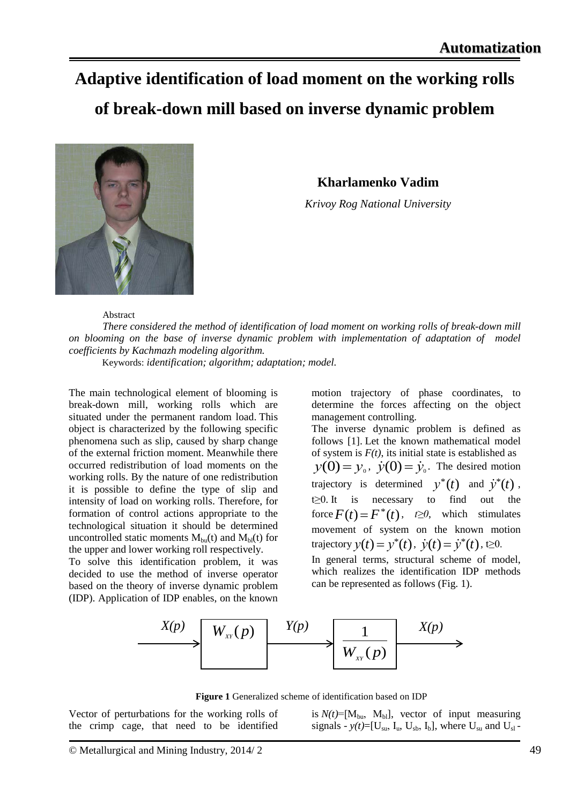## **Adaptive identification of load moment on the working rolls of break-down mill based on inverse dynamic problem**



**Kharlamenko Vadim**

*Krivoy Rog National University*

Abstract

*There considered the method of identification of load moment on working rolls of break-down mill on blooming on the base of inverse dynamic problem with implementation of adaptation of model coefficients by Kachmazh modeling algorithm.*

Keywords: *identification; algorithm; adaptation; model.*

The main technological element of blooming is break-down mill, working rolls which are situated under the permanent random load. This object is characterized by the following specific phenomena such as slip, caused by sharp change of the external friction moment. Meanwhile there occurred redistribution of load moments on the working rolls. By the nature of one redistribution it is possible to define the type of slip and intensity of load on working rolls. Therefore, for formation of control actions appropriate to the technological situation it should be determined uncontrolled static moments  $M_{bu}(t)$  and  $M_{bl}(t)$  for the upper and lower working roll respectively.

To solve this identification problem, it was decided to use the method of inverse operator based on the theory of inverse dynamic problem (IDP). Application of IDP enables, on the known motion trajectory of phase coordinates, to determine the forces affecting on the object management controlling.

The inverse dynamic problem is defined as follows [1]. Let the known mathematical model of system is  $F(t)$ , its initial state is established as  $y(0) = y_0$ ,  $\dot{y}(0) = \dot{y}_0$ . The desired motion trajectory is determined  $y^*(t)$  and  $\dot{y}^*(t)$ , t≥0. It is necessary to find out the force  $F(t) = F^*(t)$ ,  $t \ge 0$ , which stimulates movement of system on the known motion trajectory  $y(t) = y^*(t)$ ,  $\dot{y}(t) = \dot{y}^*(t)$ ,  $t \ge 0$ .

In general terms, structural scheme of model, which realizes the identification IDP methods can be represented as follows (Fig. 1).



**Figure 1** Generalized scheme of identification based on IDP

Vector of perturbations for the working rolls of the crimp cage, that need to be identified is  $N(t)$ =[M<sub>bu</sub>, M<sub>bl</sub>], vector of input measuring signals -  $y(t)$ =[U<sub>su</sub>, I<sub>u</sub>, U<sub>sb</sub>, I<sub>b</sub>], where U<sub>su</sub> and U<sub>sl</sub>-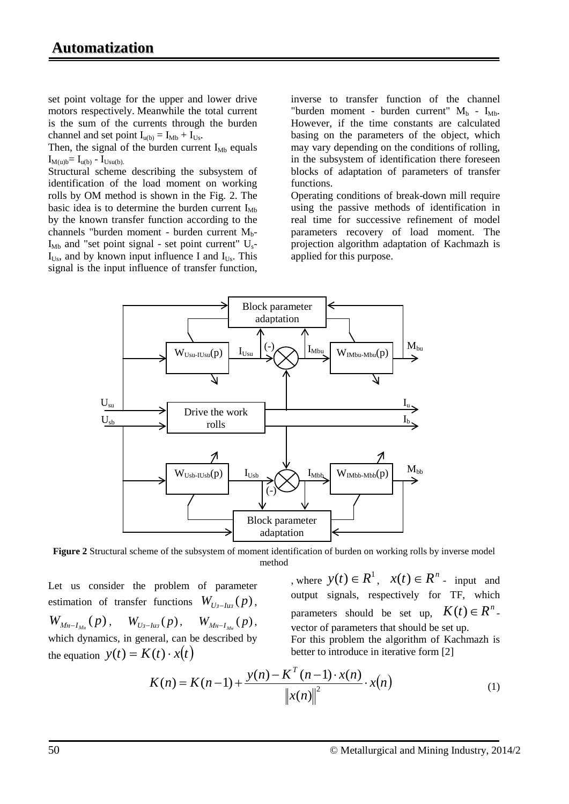set point voltage for the upper and lower drive motors respectively. Meanwhile the total current is the sum of the currents through the burden channel and set point  $I_{u(b)} = I_{Mb} + I_{Us}$ .

Then, the signal of the burden current  $I_{Mb}$  equals  $I_{M(u)b} = I_{u(b)} - I_{Usu(b)}$ .

Structural scheme describing the subsystem of identification of the load moment on working rolls by OM method is shown in the Fig. 2. The basic idea is to determine the burden current  $I_{Mb}$ by the known transfer function according to the channels "burden moment - burden current  $M_{b}$ - $I_{Mb}$  and "set point signal - set point current"  $U_s$ - $I_{Us}$ , and by known input influence I and  $I_{Us}$ . This signal is the input influence of transfer function,

inverse to transfer function of the channel "burden moment - burden current"  $M_b$  -  $I_{M_b}$ . However, if the time constants are calculated basing on the parameters of the object, which may vary depending on the conditions of rolling, in the subsystem of identification there foreseen blocks of adaptation of parameters of transfer functions.

Operating conditions of break-down mill require using the passive methods of identification in real time for successive refinement of model parameters recovery of load moment. The projection algorithm adaptation of Kachmazh is applied for this purpose.



**Figure 2** Structural scheme of the subsystem of moment identification of burden on working rolls by inverse model method

Let us consider the problem of parameter estimation of transfer functions  $W_{U_3-U_4} (p)$ ,  $W_{M_{H-I_{M_n}}}(p)$ ,  $W_{U_{3-I_{M_3}}}(p)$ ,  $W_{M_{H-I_{M_n}}}(p)$ , which dynamics, in general, can be described by the equation  $y(t) = K(t) \cdot x(t)$ 

, where  $y(t) \in R^1$ ,  $x(t) \in R^n$  - input and output signals, respectively for TF, which parameters should be set up,  $K(t) \in R^n$ . vector of parameters that should be set up.

For this problem the algorithm of Kachmazh is better to introduce in iterative form [2]

$$
K(n) = K(n-1) + \frac{y(n) - K^{T}(n-1) \cdot x(n)}{\|x(n)\|^2} \cdot x(n)
$$
 (1)